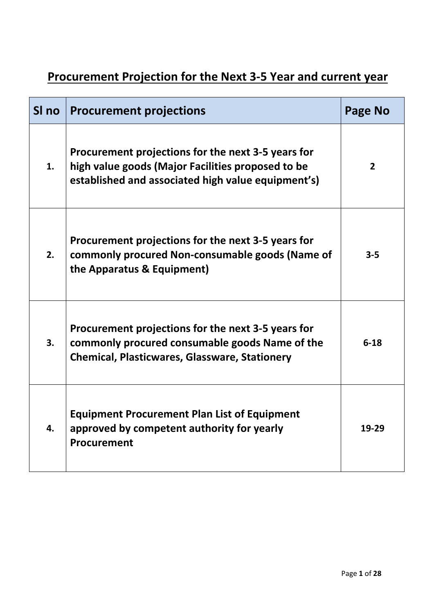# **Procurement Projection for the Next 3-5 Year and current year**

| SI no | <b>Procurement projections</b>                                                                                                                                | Page No        |
|-------|---------------------------------------------------------------------------------------------------------------------------------------------------------------|----------------|
| 1.    | Procurement projections for the next 3-5 years for<br>high value goods (Major Facilities proposed to be<br>established and associated high value equipment's) | $\overline{2}$ |
| 2.    | Procurement projections for the next 3-5 years for<br>commonly procured Non-consumable goods (Name of<br>the Apparatus & Equipment)                           | $3 - 5$        |
| 3.    | Procurement projections for the next 3-5 years for<br>commonly procured consumable goods Name of the<br><b>Chemical, Plasticwares, Glassware, Stationery</b>  | $6 - 18$       |
| 4.    | <b>Equipment Procurement Plan List of Equipment</b><br>approved by competent authority for yearly<br><b>Procurement</b>                                       | 19-29          |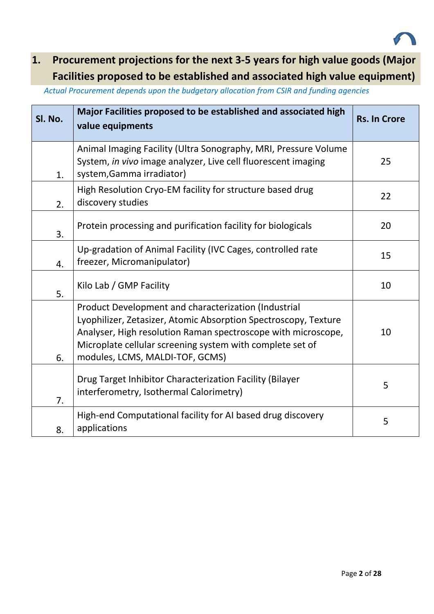<span id="page-1-0"></span>

# **1. Procurement projections for the next 3-5 years for high value goods (Major Facilities proposed to be established and associated high value equipment)**

*Actual Procurement depends upon the budgetary allocation from CSIR and funding agencies*

| SI. No. | Major Facilities proposed to be established and associated high<br>value equipments                                                                                                                                                                                                      | <b>Rs. In Crore</b> |
|---------|------------------------------------------------------------------------------------------------------------------------------------------------------------------------------------------------------------------------------------------------------------------------------------------|---------------------|
| 1.      | Animal Imaging Facility (Ultra Sonography, MRI, Pressure Volume<br>System, in vivo image analyzer, Live cell fluorescent imaging<br>system, Gamma irradiator)                                                                                                                            | 25                  |
| 2.      | High Resolution Cryo-EM facility for structure based drug<br>discovery studies                                                                                                                                                                                                           | 22                  |
| 3.      | Protein processing and purification facility for biologicals                                                                                                                                                                                                                             | 20                  |
| 4.      | Up-gradation of Animal Facility (IVC Cages, controlled rate<br>freezer, Micromanipulator)                                                                                                                                                                                                | 15                  |
| 5.      | Kilo Lab / GMP Facility                                                                                                                                                                                                                                                                  | 10                  |
| 6.      | Product Development and characterization (Industrial<br>Lyophilizer, Zetasizer, Atomic Absorption Spectroscopy, Texture<br>Analyser, High resolution Raman spectroscope with microscope,<br>Microplate cellular screening system with complete set of<br>modules, LCMS, MALDI-TOF, GCMS) | 10                  |
| 7.      | Drug Target Inhibitor Characterization Facility (Bilayer<br>interferometry, Isothermal Calorimetry)                                                                                                                                                                                      | 5                   |
| 8.      | High-end Computational facility for AI based drug discovery<br>applications                                                                                                                                                                                                              | 5                   |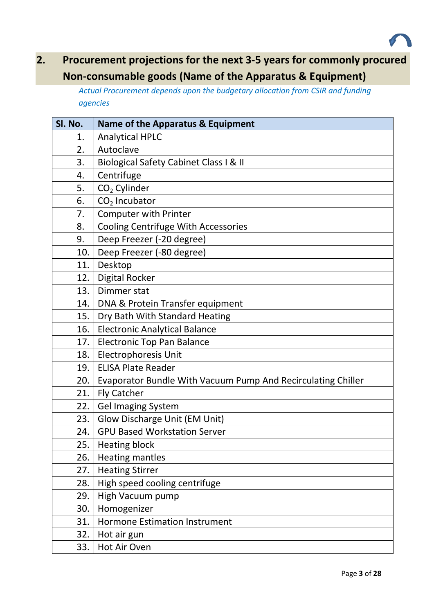<span id="page-2-0"></span>

# **2. Procurement projections for the next 3-5 years for commonly procured Non-consumable goods (Name of the Apparatus & Equipment)**

*Actual Procurement depends upon the budgetary allocation from CSIR and funding agencies*

| SI. No. | Name of the Apparatus & Equipment                            |
|---------|--------------------------------------------------------------|
| 1.      | <b>Analytical HPLC</b>                                       |
| 2.      | Autoclave                                                    |
| 3.      | Biological Safety Cabinet Class I & II                       |
| 4.      | Centrifuge                                                   |
| 5.      | $CO2$ Cylinder                                               |
| 6.      | $CO2$ Incubator                                              |
| 7.      | <b>Computer with Printer</b>                                 |
| 8.      | Cooling Centrifuge With Accessories                          |
| 9.      | Deep Freezer (-20 degree)                                    |
| 10.     | Deep Freezer (-80 degree)                                    |
| 11.     | Desktop                                                      |
| 12.     | <b>Digital Rocker</b>                                        |
| 13.     | Dimmer stat                                                  |
| 14.     | DNA & Protein Transfer equipment                             |
| 15.     | Dry Bath With Standard Heating                               |
| 16.     | <b>Electronic Analytical Balance</b>                         |
| 17.     | <b>Electronic Top Pan Balance</b>                            |
| 18.     | Electrophoresis Unit                                         |
| 19.     | <b>ELISA Plate Reader</b>                                    |
| 20.     | Evaporator Bundle With Vacuum Pump And Recirculating Chiller |
| 21.     | <b>Fly Catcher</b>                                           |
| 22.     | <b>Gel Imaging System</b>                                    |
| 23.     | Glow Discharge Unit (EM Unit)                                |
| 24.     | <b>GPU Based Workstation Server</b>                          |
| 25.     | <b>Heating block</b>                                         |
| 26.     | <b>Heating mantles</b>                                       |
| 27.     | <b>Heating Stirrer</b>                                       |
| 28.     | High speed cooling centrifuge                                |
| 29.     | High Vacuum pump                                             |
| 30.     | Homogenizer                                                  |
| 31.     | <b>Hormone Estimation Instrument</b>                         |
| 32.     | Hot air gun                                                  |
| 33.     | Hot Air Oven                                                 |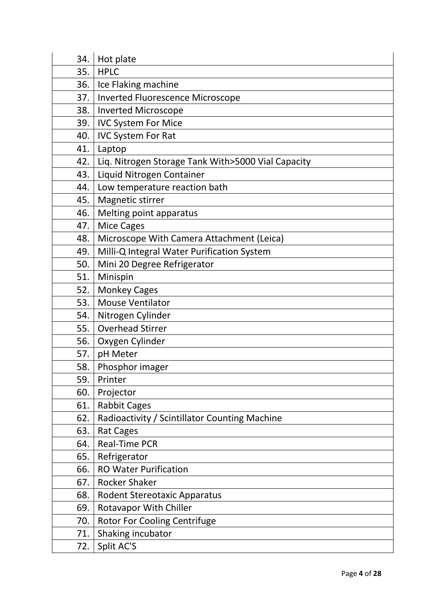| 34.   | Hot plate                                          |
|-------|----------------------------------------------------|
| 35.   | <b>HPLC</b>                                        |
| 36.   | Ice Flaking machine                                |
| 37.1  | <b>Inverted Fluorescence Microscope</b>            |
| 38.1  | <b>Inverted Microscope</b>                         |
| 39. l | <b>IVC System For Mice</b>                         |
| 40.   | <b>IVC System For Rat</b>                          |
| 41.   | Laptop                                             |
| 42.   | Liq. Nitrogen Storage Tank With>5000 Vial Capacity |
| 43.   | Liquid Nitrogen Container                          |
| 44.   | Low temperature reaction bath                      |
| 45.   | Magnetic stirrer                                   |
| 46.   | Melting point apparatus                            |
| 47.   | <b>Mice Cages</b>                                  |
| 48.   | Microscope With Camera Attachment (Leica)          |
| 49.   | Milli-Q Integral Water Purification System         |
| 50.   | Mini 20 Degree Refrigerator                        |
| 51.   | Minispin                                           |
| 52.   | <b>Monkey Cages</b>                                |
| 53.   | <b>Mouse Ventilator</b>                            |
| 54.   | Nitrogen Cylinder                                  |
| 55.   | <b>Overhead Stirrer</b>                            |
| 56.   | Oxygen Cylinder                                    |
| 57.   | pH Meter                                           |
| 58.   | Phosphor imager                                    |
| 59.   | Printer                                            |
| 60.   | Projector                                          |
| 61.   | <b>Rabbit Cages</b>                                |
| 62.   | Radioactivity / Scintillator Counting Machine      |
| 63.   | <b>Rat Cages</b>                                   |
| 64.   | Real-Time PCR                                      |
| 65.   | Refrigerator                                       |
| 66.   | <b>RO Water Purification</b>                       |
| 67.   | <b>Rocker Shaker</b>                               |
| 68.   | <b>Rodent Stereotaxic Apparatus</b>                |
| 69.   | <b>Rotavapor With Chiller</b>                      |
| 70.   | <b>Rotor For Cooling Centrifuge</b>                |
| 71.   | Shaking incubator                                  |
| 72.   | Split AC'S                                         |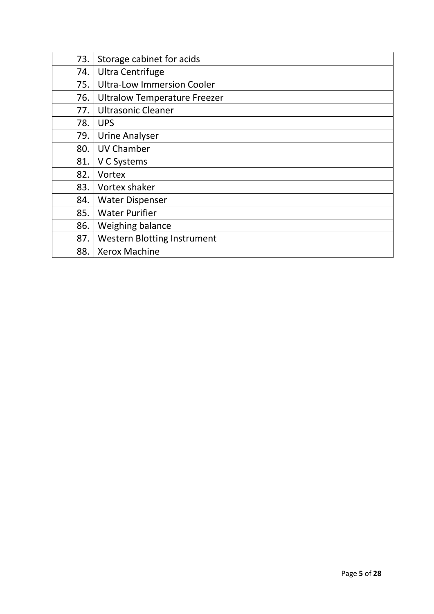| 73. | Storage cabinet for acids           |
|-----|-------------------------------------|
| 74. | <b>Ultra Centrifuge</b>             |
| 75. | <b>Ultra-Low Immersion Cooler</b>   |
| 76. | <b>Ultralow Temperature Freezer</b> |
| 77. | <b>Ultrasonic Cleaner</b>           |
| 78. | <b>UPS</b>                          |
| 79. | <b>Urine Analyser</b>               |
| 80. | <b>UV Chamber</b>                   |
| 81. | V C Systems                         |
| 82. | <b>Vortex</b>                       |
| 83. | Vortex shaker                       |
| 84. | <b>Water Dispenser</b>              |
| 85. | <b>Water Purifier</b>               |
| 86. | Weighing balance                    |
| 87. | <b>Western Blotting Instrument</b>  |
| 88. | <b>Xerox Machine</b>                |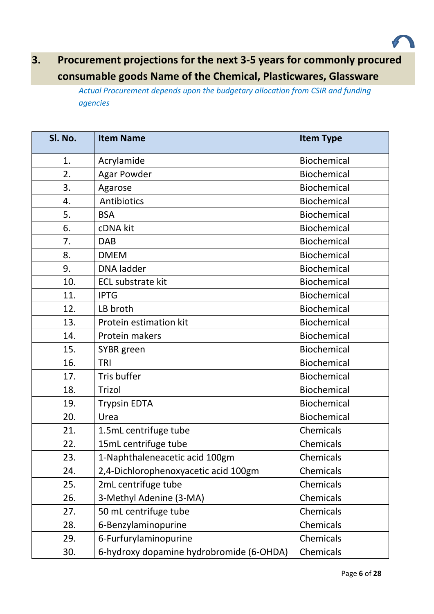

## **3. Procurement projections for the next 3-5 years for commonly procured consumable goods Name of the Chemical, Plasticwares, Glassware**

*Actual Procurement depends upon the budgetary allocation from CSIR and funding agencies*

<span id="page-5-0"></span>

| Sl. No. | <b>Item Name</b>                         | <b>Item Type</b>   |
|---------|------------------------------------------|--------------------|
| 1.      | Acrylamide                               | <b>Biochemical</b> |
| 2.      | <b>Agar Powder</b>                       | Biochemical        |
| 3.      | Agarose                                  | <b>Biochemical</b> |
| 4.      | Antibiotics                              | Biochemical        |
| 5.      | <b>BSA</b>                               | Biochemical        |
| 6.      | cDNA kit                                 | Biochemical        |
| 7.      | <b>DAB</b>                               | Biochemical        |
| 8.      | <b>DMEM</b>                              | Biochemical        |
| 9.      | <b>DNA</b> ladder                        | <b>Biochemical</b> |
| 10.     | <b>ECL substrate kit</b>                 | Biochemical        |
| 11.     | <b>IPTG</b>                              | <b>Biochemical</b> |
| 12.     | LB broth                                 | Biochemical        |
| 13.     | Protein estimation kit                   | Biochemical        |
| 14.     | Protein makers                           | <b>Biochemical</b> |
| 15.     | SYBR green                               | Biochemical        |
| 16.     | <b>TRI</b>                               | Biochemical        |
| 17.     | Tris buffer                              | Biochemical        |
| 18.     | Trizol                                   | Biochemical        |
| 19.     | <b>Trypsin EDTA</b>                      | Biochemical        |
| 20.     | Urea                                     | Biochemical        |
| 21.     | 1.5mL centrifuge tube                    | Chemicals          |
| 22.     | 15mL centrifuge tube                     | Chemicals          |
| 23.     | 1-Naphthaleneacetic acid 100gm           | Chemicals          |
| 24.     | 2,4-Dichlorophenoxyacetic acid 100gm     | Chemicals          |
| 25.     | 2mL centrifuge tube                      | Chemicals          |
| 26.     | 3-Methyl Adenine (3-MA)                  | Chemicals          |
| 27.     | 50 mL centrifuge tube                    | Chemicals          |
| 28.     | 6-Benzylaminopurine                      | Chemicals          |
| 29.     | 6-Furfurylaminopurine                    | Chemicals          |
| 30.     | 6-hydroxy dopamine hydrobromide (6-OHDA) | Chemicals          |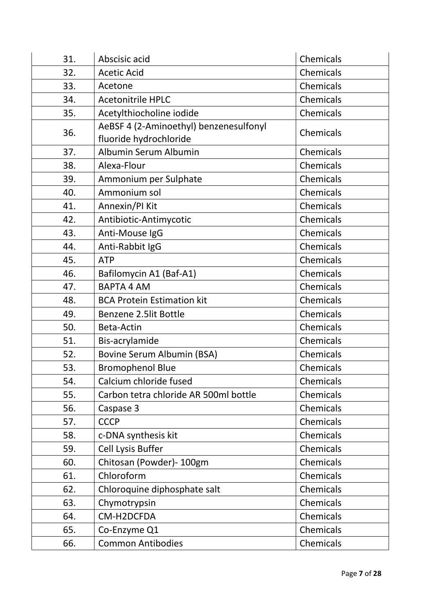| 31. | Abscisic acid                                                    | Chemicals |
|-----|------------------------------------------------------------------|-----------|
| 32. | <b>Acetic Acid</b>                                               | Chemicals |
| 33. | Acetone                                                          | Chemicals |
| 34. | <b>Acetonitrile HPLC</b>                                         | Chemicals |
| 35. | Acetylthiocholine iodide                                         | Chemicals |
| 36. | AeBSF 4 (2-Aminoethyl) benzenesulfonyl<br>fluoride hydrochloride | Chemicals |
| 37. | Albumin Serum Albumin                                            | Chemicals |
| 38. | Alexa-Flour                                                      | Chemicals |
| 39. | Ammonium per Sulphate                                            | Chemicals |
| 40. | Ammonium sol                                                     | Chemicals |
| 41. | Annexin/PI Kit                                                   | Chemicals |
| 42. | Antibiotic-Antimycotic                                           | Chemicals |
| 43. | Anti-Mouse IgG                                                   | Chemicals |
| 44. | Anti-Rabbit IgG                                                  | Chemicals |
| 45. | <b>ATP</b>                                                       | Chemicals |
| 46. | Bafilomycin A1 (Baf-A1)                                          | Chemicals |
| 47. | <b>BAPTA 4 AM</b>                                                | Chemicals |
| 48. | <b>BCA Protein Estimation kit</b>                                | Chemicals |
| 49. | Benzene 2.5lit Bottle                                            | Chemicals |
| 50. | Beta-Actin                                                       | Chemicals |
| 51. | Bis-acrylamide                                                   | Chemicals |
| 52. | Bovine Serum Albumin (BSA)                                       | Chemicals |
| 53. | <b>Bromophenol Blue</b>                                          | Chemicals |
| 54. | Calcium chloride fused                                           | Chemicals |
| 55. | Carbon tetra chloride AR 500ml bottle                            | Chemicals |
| 56. | Caspase 3                                                        | Chemicals |
| 57. | <b>CCCP</b>                                                      | Chemicals |
| 58. | c-DNA synthesis kit                                              | Chemicals |
| 59. | <b>Cell Lysis Buffer</b>                                         | Chemicals |
| 60. | Chitosan (Powder)- 100gm                                         | Chemicals |
| 61. | Chloroform                                                       | Chemicals |
| 62. | Chloroquine diphosphate salt                                     | Chemicals |
| 63. | Chymotrypsin                                                     | Chemicals |
| 64. | CM-H2DCFDA                                                       | Chemicals |
| 65. | Co-Enzyme Q1                                                     | Chemicals |
| 66. | <b>Common Antibodies</b>                                         | Chemicals |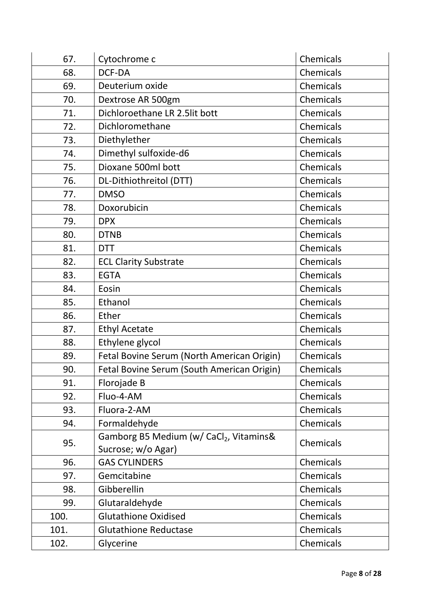| 67.  | Cytochrome c                                                 | Chemicals |
|------|--------------------------------------------------------------|-----------|
| 68.  | DCF-DA                                                       | Chemicals |
| 69.  | Deuterium oxide                                              | Chemicals |
| 70.  | Dextrose AR 500gm                                            | Chemicals |
| 71.  | Dichloroethane LR 2.5lit bott                                | Chemicals |
| 72.  | Dichloromethane                                              | Chemicals |
| 73.  | Diethylether                                                 | Chemicals |
| 74.  | Dimethyl sulfoxide-d6                                        | Chemicals |
| 75.  | Dioxane 500ml bott                                           | Chemicals |
| 76.  | DL-Dithiothreitol (DTT)                                      | Chemicals |
| 77.  | <b>DMSO</b>                                                  | Chemicals |
| 78.  | Doxorubicin                                                  | Chemicals |
| 79.  | <b>DPX</b>                                                   | Chemicals |
| 80.  | <b>DTNB</b>                                                  | Chemicals |
| 81.  | <b>DTT</b>                                                   | Chemicals |
| 82.  | <b>ECL Clarity Substrate</b>                                 | Chemicals |
| 83.  | <b>EGTA</b>                                                  | Chemicals |
| 84.  | Eosin                                                        | Chemicals |
| 85.  | Ethanol                                                      | Chemicals |
| 86.  | Ether                                                        | Chemicals |
| 87.  | <b>Ethyl Acetate</b>                                         | Chemicals |
| 88.  | Ethylene glycol                                              | Chemicals |
| 89.  | Fetal Bovine Serum (North American Origin)                   | Chemicals |
| 90.  | Fetal Bovine Serum (South American Origin)                   | Chemicals |
| 91.  | Florojade B                                                  | Chemicals |
| 92.  | Fluo-4-AM                                                    | Chemicals |
| 93.  | Fluora-2-AM                                                  | Chemicals |
| 94.  | Formaldehyde                                                 | Chemicals |
| 95.  | Gamborg B5 Medium (w/ CaCl2, Vitamins&<br>Sucrose; w/o Agar) | Chemicals |
| 96.  | <b>GAS CYLINDERS</b>                                         | Chemicals |
| 97.  | Gemcitabine                                                  | Chemicals |
| 98.  | Gibberellin                                                  | Chemicals |
| 99.  | Glutaraldehyde                                               | Chemicals |
| 100. | <b>Glutathione Oxidised</b>                                  | Chemicals |
| 101. | <b>Glutathione Reductase</b>                                 | Chemicals |
| 102. | Glycerine                                                    | Chemicals |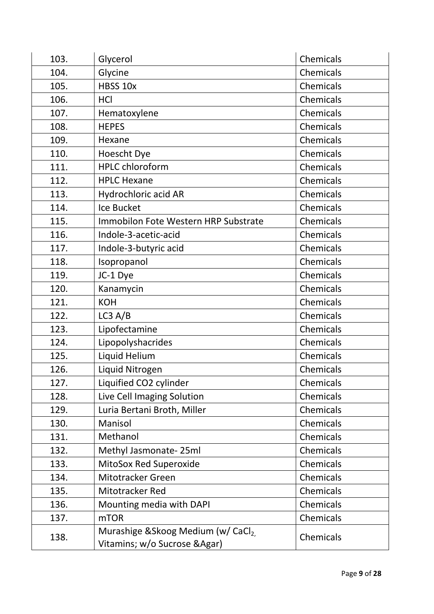| 103. | Glycerol                                                             | Chemicals |
|------|----------------------------------------------------------------------|-----------|
| 104. | Glycine                                                              | Chemicals |
| 105. | HBSS 10x                                                             | Chemicals |
| 106. | <b>HCI</b>                                                           | Chemicals |
| 107. | Hematoxylene                                                         | Chemicals |
| 108. | <b>HEPES</b>                                                         | Chemicals |
| 109. | Hexane                                                               | Chemicals |
| 110. | Hoescht Dye                                                          | Chemicals |
| 111. | <b>HPLC chloroform</b>                                               | Chemicals |
| 112. | <b>HPLC Hexane</b>                                                   | Chemicals |
| 113. | Hydrochloric acid AR                                                 | Chemicals |
| 114. | Ice Bucket                                                           | Chemicals |
| 115. | Immobilon Fote Western HRP Substrate                                 | Chemicals |
| 116. | Indole-3-acetic-acid                                                 | Chemicals |
| 117. | Indole-3-butyric acid                                                | Chemicals |
| 118. | Isopropanol                                                          | Chemicals |
| 119. | JC-1 Dye                                                             | Chemicals |
| 120. | Kanamycin                                                            | Chemicals |
| 121. | <b>KOH</b>                                                           | Chemicals |
| 122. | LC3 A/B                                                              | Chemicals |
| 123. | Lipofectamine                                                        | Chemicals |
| 124. | Lipopolyshacrides                                                    | Chemicals |
| 125. | Liquid Helium                                                        | Chemicals |
| 126. | Liquid Nitrogen                                                      | Chemicals |
| 127. | Liquified CO2 cylinder                                               | Chemicals |
| 128. | Live Cell Imaging Solution                                           | Chemicals |
| 129. | Luria Bertani Broth, Miller                                          | Chemicals |
| 130. | Manisol                                                              | Chemicals |
| 131. | Methanol                                                             | Chemicals |
| 132. | Methyl Jasmonate-25ml                                                | Chemicals |
| 133. | MitoSox Red Superoxide                                               | Chemicals |
| 134. | Mitotracker Green                                                    | Chemicals |
| 135. | Mitotracker Red                                                      | Chemicals |
| 136. | Mounting media with DAPI                                             | Chemicals |
| 137. | <b>mTOR</b>                                                          | Chemicals |
| 138. | Murashige & Skoog Medium (w/ CaCl2.<br>Vitamins; w/o Sucrose & Agar) | Chemicals |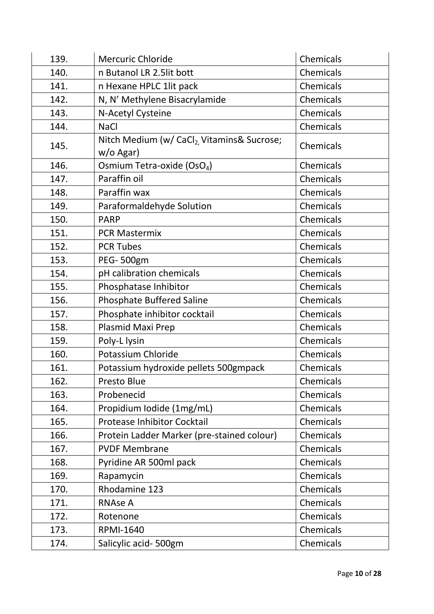| 139. | <b>Mercuric Chloride</b>                                            | Chemicals |
|------|---------------------------------------------------------------------|-----------|
| 140. | n Butanol LR 2.5lit bott                                            | Chemicals |
| 141. | n Hexane HPLC 1lit pack                                             | Chemicals |
| 142. | N, N' Methylene Bisacrylamide                                       | Chemicals |
| 143. | N-Acetyl Cysteine                                                   | Chemicals |
| 144. | <b>NaCl</b>                                                         | Chemicals |
| 145. | Nitch Medium (w/ CaCl <sub>2,</sub> Vitamins& Sucrose;<br>w/o Agar) | Chemicals |
| 146. | Osmium Tetra-oxide (OsO <sub>4</sub> )                              | Chemicals |
| 147. | Paraffin oil                                                        | Chemicals |
| 148. | Paraffin wax                                                        | Chemicals |
| 149. | Paraformaldehyde Solution                                           | Chemicals |
| 150. | <b>PARP</b>                                                         | Chemicals |
| 151. | <b>PCR Mastermix</b>                                                | Chemicals |
| 152. | <b>PCR Tubes</b>                                                    | Chemicals |
| 153. | PEG-500gm                                                           | Chemicals |
| 154. | pH calibration chemicals                                            | Chemicals |
| 155. | Phosphatase Inhibitor                                               | Chemicals |
| 156. | <b>Phosphate Buffered Saline</b>                                    | Chemicals |
| 157. | Phosphate inhibitor cocktail                                        | Chemicals |
| 158. | Plasmid Maxi Prep                                                   | Chemicals |
| 159. | Poly-L lysin                                                        | Chemicals |
| 160. | Potassium Chloride                                                  | Chemicals |
| 161. | Potassium hydroxide pellets 500gmpack                               | Chemicals |
| 162. | Presto Blue                                                         | Chemicals |
| 163. | Probenecid                                                          | Chemicals |
| 164. | Propidium Iodide (1mg/mL)                                           | Chemicals |
| 165. | <b>Protease Inhibitor Cocktail</b>                                  | Chemicals |
| 166. | Protein Ladder Marker (pre-stained colour)                          | Chemicals |
| 167. | <b>PVDF Membrane</b>                                                | Chemicals |
| 168. | Pyridine AR 500ml pack                                              | Chemicals |
| 169. | Rapamycin                                                           | Chemicals |
| 170. | Rhodamine 123                                                       | Chemicals |
| 171. | <b>RNAse A</b>                                                      | Chemicals |
| 172. | Rotenone                                                            | Chemicals |
| 173. | <b>RPMI-1640</b>                                                    | Chemicals |
| 174. | Salicylic acid-500gm                                                | Chemicals |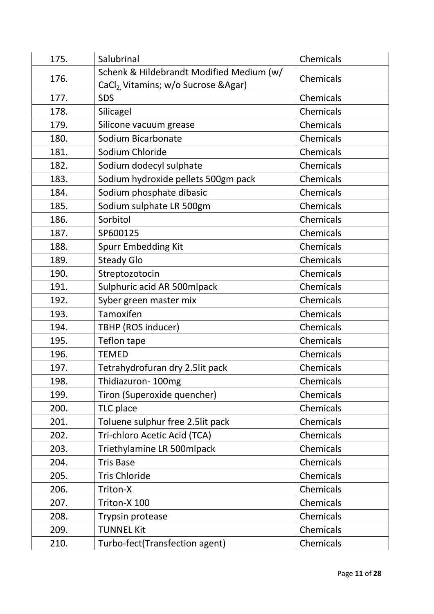| 175. | Salubrinal                                        | Chemicals |
|------|---------------------------------------------------|-----------|
| 176. | Schenk & Hildebrandt Modified Medium (w/          | Chemicals |
|      | CaCl <sub>2</sub> , Vitamins; w/o Sucrose & Agar) |           |
| 177. | <b>SDS</b>                                        | Chemicals |
| 178. | Silicagel                                         | Chemicals |
| 179. | Silicone vacuum grease                            | Chemicals |
| 180. | Sodium Bicarbonate                                | Chemicals |
| 181. | Sodium Chloride                                   | Chemicals |
| 182. | Sodium dodecyl sulphate                           | Chemicals |
| 183. | Sodium hydroxide pellets 500gm pack               | Chemicals |
| 184. | Sodium phosphate dibasic                          | Chemicals |
| 185. | Sodium sulphate LR 500gm                          | Chemicals |
| 186. | Sorbitol                                          | Chemicals |
| 187. | SP600125                                          | Chemicals |
| 188. | Spurr Embedding Kit                               | Chemicals |
| 189. | <b>Steady Glo</b>                                 | Chemicals |
| 190. | Streptozotocin                                    | Chemicals |
| 191. | Sulphuric acid AR 500mlpack                       | Chemicals |
| 192. | Syber green master mix                            | Chemicals |
| 193. | Tamoxifen                                         | Chemicals |
| 194. | TBHP (ROS inducer)                                | Chemicals |
| 195. | Teflon tape                                       | Chemicals |
| 196. | <b>TEMED</b>                                      | Chemicals |
| 197. | Tetrahydrofuran dry 2.5lit pack                   | Chemicals |
| 198. | Thidiazuron-100mg                                 | Chemicals |
| 199. | Tiron (Superoxide quencher)                       | Chemicals |
| 200. | TLC place                                         | Chemicals |
| 201. | Toluene sulphur free 2.5lit pack                  | Chemicals |
| 202. | Tri-chloro Acetic Acid (TCA)                      | Chemicals |
| 203. | Triethylamine LR 500mlpack                        | Chemicals |
| 204. | <b>Tris Base</b>                                  | Chemicals |
| 205. | <b>Tris Chloride</b>                              | Chemicals |
| 206. | Triton-X                                          | Chemicals |
| 207. | Triton-X 100                                      | Chemicals |
| 208. | Trypsin protease                                  | Chemicals |
| 209. | <b>TUNNEL Kit</b>                                 | Chemicals |
| 210. | Turbo-fect(Transfection agent)                    | Chemicals |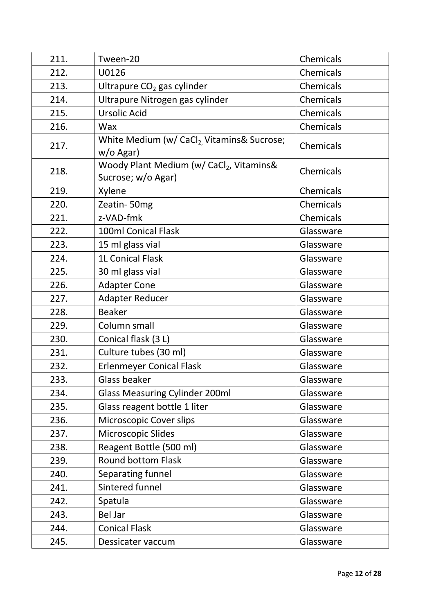| 211. | Tween-20                                                           | Chemicals |
|------|--------------------------------------------------------------------|-----------|
| 212. | U0126                                                              | Chemicals |
| 213. | Ultrapure CO <sub>2</sub> gas cylinder                             | Chemicals |
| 214. | Ultrapure Nitrogen gas cylinder                                    | Chemicals |
| 215. | <b>Ursolic Acid</b>                                                | Chemicals |
| 216. | Wax                                                                | Chemicals |
| 217. | White Medium (w/ CaCl <sub>2</sub> Vitamins& Sucrose;<br>w/o Agar) | Chemicals |
| 218. | Woody Plant Medium (w/ CaCl2, Vitamins&<br>Sucrose; w/o Agar)      | Chemicals |
| 219. | Xylene                                                             | Chemicals |
| 220. | Zeatin-50mg                                                        | Chemicals |
| 221. | z-VAD-fmk                                                          | Chemicals |
| 222. | 100ml Conical Flask                                                | Glassware |
| 223. | 15 ml glass vial                                                   | Glassware |
| 224. | 1L Conical Flask                                                   | Glassware |
| 225. | 30 ml glass vial                                                   | Glassware |
| 226. | <b>Adapter Cone</b>                                                | Glassware |
| 227. | Adapter Reducer                                                    | Glassware |
| 228. | <b>Beaker</b>                                                      | Glassware |
| 229. | Column small                                                       | Glassware |
| 230. | Conical flask (3 L)                                                | Glassware |
| 231. | Culture tubes (30 ml)                                              | Glassware |
| 232. | <b>Erlenmeyer Conical Flask</b>                                    | Glassware |
| 233. | Glass beaker                                                       | Glassware |
| 234. | <b>Glass Measuring Cylinder 200ml</b>                              | Glassware |
| 235. | Glass reagent bottle 1 liter                                       | Glassware |
| 236. | Microscopic Cover slips                                            | Glassware |
| 237. | Microscopic Slides                                                 | Glassware |
| 238. | Reagent Bottle (500 ml)                                            | Glassware |
| 239. | <b>Round bottom Flask</b>                                          | Glassware |
| 240. | Separating funnel                                                  | Glassware |
| 241. | Sintered funnel                                                    | Glassware |
| 242. | Spatula                                                            | Glassware |
| 243. | <b>Bel Jar</b>                                                     | Glassware |
| 244. | <b>Conical Flask</b>                                               | Glassware |
| 245. | Dessicater vaccum                                                  | Glassware |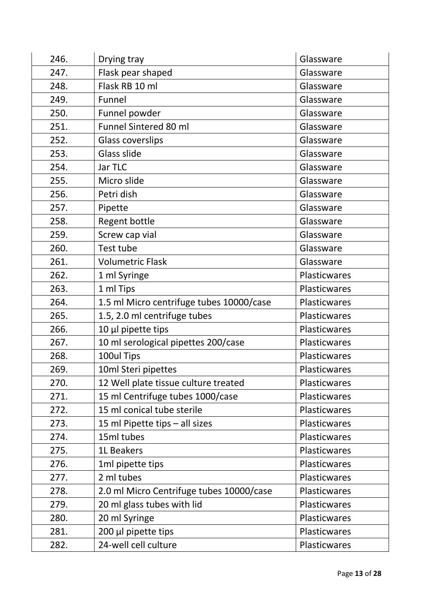| 246. | Drying tray                              | Glassware           |
|------|------------------------------------------|---------------------|
| 247. | Flask pear shaped                        | Glassware           |
| 248. | Flask RB 10 ml                           | Glassware           |
| 249. | Funnel                                   | Glassware           |
| 250. | Funnel powder                            | Glassware           |
| 251. | Funnel Sintered 80 ml                    | Glassware           |
| 252. | <b>Glass coverslips</b>                  | Glassware           |
| 253. | Glass slide                              | Glassware           |
| 254. | Jar TLC                                  | Glassware           |
| 255. | Micro slide                              | Glassware           |
| 256. | Petri dish                               | Glassware           |
| 257. | Pipette                                  | Glassware           |
| 258. | Regent bottle                            | Glassware           |
| 259. | Screw cap vial                           | Glassware           |
| 260. | Test tube                                | Glassware           |
| 261. | <b>Volumetric Flask</b>                  | Glassware           |
| 262. | 1 ml Syringe                             | Plasticwares        |
| 263. | 1 ml Tips                                | Plasticwares        |
| 264. | 1.5 ml Micro centrifuge tubes 10000/case | Plasticwares        |
| 265. | 1.5, 2.0 ml centrifuge tubes             | Plasticwares        |
| 266. | 10 µl pipette tips                       | Plasticwares        |
| 267. | 10 ml serological pipettes 200/case      | Plasticwares        |
| 268. | 100ul Tips                               | Plasticwares        |
| 269. | 10ml Steri pipettes                      | Plasticwares        |
| 270. | 12 Well plate tissue culture treated     | <b>Plasticwares</b> |
| 271. | 15 ml Centrifuge tubes 1000/case         | Plasticwares        |
| 272. | 15 ml conical tube sterile               | <b>Plasticwares</b> |
| 273. | 15 ml Pipette tips - all sizes           | Plasticwares        |
| 274. | 15ml tubes                               | Plasticwares        |
| 275. | 1L Beakers                               | Plasticwares        |
| 276. | 1ml pipette tips                         | Plasticwares        |
| 277. | 2 ml tubes                               | Plasticwares        |
| 278. | 2.0 ml Micro Centrifuge tubes 10000/case | Plasticwares        |
| 279. | 20 ml glass tubes with lid               | Plasticwares        |
| 280. | 20 ml Syringe                            | Plasticwares        |
| 281. | 200 µl pipette tips                      | Plasticwares        |
| 282. | 24-well cell culture                     | Plasticwares        |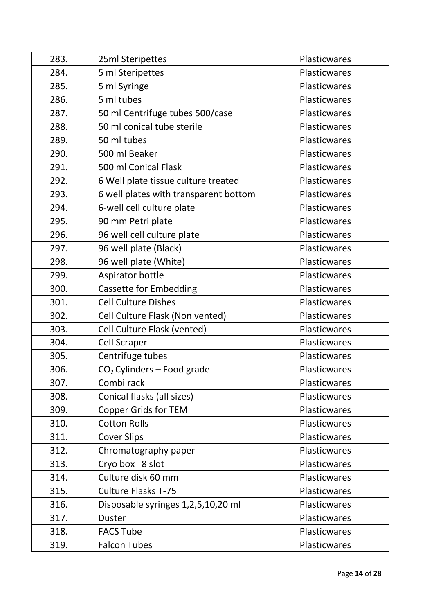| 283. | 25ml Steripettes                      | Plasticwares |
|------|---------------------------------------|--------------|
| 284. | 5 ml Steripettes                      | Plasticwares |
| 285. | 5 ml Syringe                          | Plasticwares |
| 286. | 5 ml tubes                            | Plasticwares |
| 287. | 50 ml Centrifuge tubes 500/case       | Plasticwares |
| 288. | 50 ml conical tube sterile            | Plasticwares |
| 289. | 50 ml tubes                           | Plasticwares |
| 290. | 500 ml Beaker                         | Plasticwares |
| 291. | 500 ml Conical Flask                  | Plasticwares |
| 292. | 6 Well plate tissue culture treated   | Plasticwares |
| 293. | 6 well plates with transparent bottom | Plasticwares |
| 294. | 6-well cell culture plate             | Plasticwares |
| 295. | 90 mm Petri plate                     | Plasticwares |
| 296. | 96 well cell culture plate            | Plasticwares |
| 297. | 96 well plate (Black)                 | Plasticwares |
| 298. | 96 well plate (White)                 | Plasticwares |
| 299. | Aspirator bottle                      | Plasticwares |
| 300. | <b>Cassette for Embedding</b>         | Plasticwares |
| 301. | <b>Cell Culture Dishes</b>            | Plasticwares |
| 302. | Cell Culture Flask (Non vented)       | Plasticwares |
| 303. | Cell Culture Flask (vented)           | Plasticwares |
| 304. | <b>Cell Scraper</b>                   | Plasticwares |
| 305. | Centrifuge tubes                      | Plasticwares |
| 306. | $CO2$ Cylinders – Food grade          | Plasticwares |
| 307. | Combi rack                            | Plasticwares |
| 308. | Conical flasks (all sizes)            | Plasticwares |
| 309. | <b>Copper Grids for TEM</b>           | Plasticwares |
| 310. | <b>Cotton Rolls</b>                   | Plasticwares |
| 311. | <b>Cover Slips</b>                    | Plasticwares |
| 312. | Chromatography paper                  | Plasticwares |
| 313. | Cryo box 8 slot                       | Plasticwares |
| 314. | Culture disk 60 mm                    | Plasticwares |
| 315. | <b>Culture Flasks T-75</b>            | Plasticwares |
| 316. | Disposable syringes 1,2,5,10,20 ml    | Plasticwares |
| 317. | <b>Duster</b>                         | Plasticwares |
| 318. | <b>FACS Tube</b>                      | Plasticwares |
| 319. | <b>Falcon Tubes</b>                   | Plasticwares |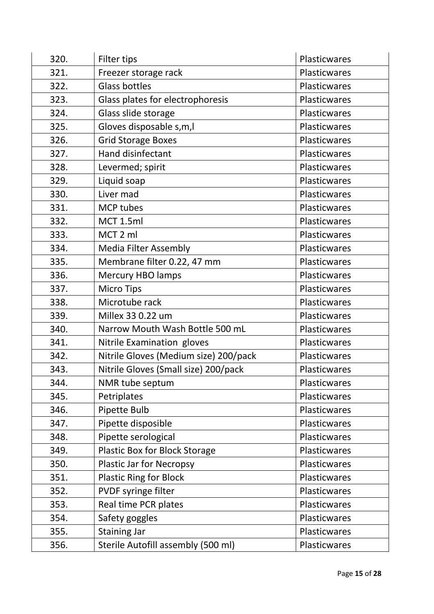| 320. | Filter tips                           | Plasticwares        |
|------|---------------------------------------|---------------------|
| 321. | Freezer storage rack                  | Plasticwares        |
| 322. | <b>Glass bottles</b>                  | Plasticwares        |
| 323. | Glass plates for electrophoresis      | Plasticwares        |
| 324. | Glass slide storage                   | Plasticwares        |
| 325. | Gloves disposable s, m, l             | <b>Plasticwares</b> |
| 326. | <b>Grid Storage Boxes</b>             | Plasticwares        |
| 327. | Hand disinfectant                     | <b>Plasticwares</b> |
| 328. | Levermed; spirit                      | Plasticwares        |
| 329. | Liquid soap                           | Plasticwares        |
| 330. | Liver mad                             | Plasticwares        |
| 331. | <b>MCP tubes</b>                      | Plasticwares        |
| 332. | MCT 1.5ml                             | Plasticwares        |
| 333. | MCT 2 ml                              | Plasticwares        |
| 334. | <b>Media Filter Assembly</b>          | Plasticwares        |
| 335. | Membrane filter 0.22, 47 mm           | Plasticwares        |
| 336. | <b>Mercury HBO lamps</b>              | Plasticwares        |
| 337. | <b>Micro Tips</b>                     | Plasticwares        |
| 338. | Microtube rack                        | Plasticwares        |
| 339. | Millex 33 0.22 um                     | Plasticwares        |
| 340. | Narrow Mouth Wash Bottle 500 mL       | Plasticwares        |
| 341. | Nitrile Examination gloves            | Plasticwares        |
| 342. | Nitrile Gloves (Medium size) 200/pack | Plasticwares        |
| 343. | Nitrile Gloves (Small size) 200/pack  | Plasticwares        |
| 344. | NMR tube septum                       | <b>Plasticwares</b> |
| 345. | Petriplates                           | Plasticwares        |
| 346. | Pipette Bulb                          | Plasticwares        |
| 347. | Pipette disposible                    | Plasticwares        |
| 348. | Pipette serological                   | Plasticwares        |
| 349. | Plastic Box for Block Storage         | Plasticwares        |
| 350. | <b>Plastic Jar for Necropsy</b>       | Plasticwares        |
| 351. | <b>Plastic Ring for Block</b>         | Plasticwares        |
| 352. | PVDF syringe filter                   | Plasticwares        |
| 353. | Real time PCR plates                  | Plasticwares        |
| 354. | Safety goggles                        | Plasticwares        |
| 355. | Staining Jar                          | Plasticwares        |
| 356. | Sterile Autofill assembly (500 ml)    | Plasticwares        |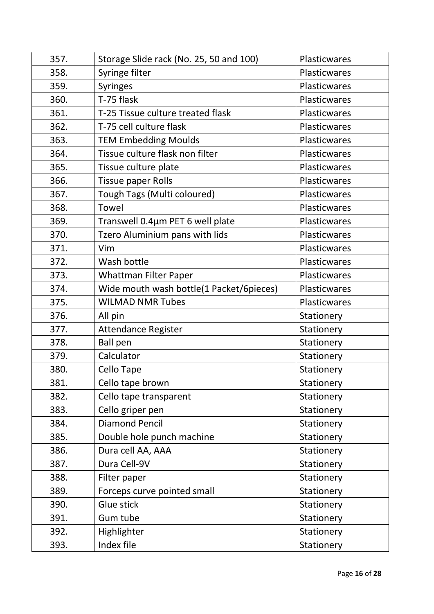| 357. | Storage Slide rack (No. 25, 50 and 100)  | Plasticwares |
|------|------------------------------------------|--------------|
| 358. | Syringe filter                           | Plasticwares |
| 359. | <b>Syringes</b>                          | Plasticwares |
| 360. | T-75 flask                               | Plasticwares |
| 361. | T-25 Tissue culture treated flask        | Plasticwares |
| 362. | T-75 cell culture flask                  | Plasticwares |
| 363. | <b>TEM Embedding Moulds</b>              | Plasticwares |
| 364. | Tissue culture flask non filter          | Plasticwares |
| 365. | Tissue culture plate                     | Plasticwares |
| 366. | <b>Tissue paper Rolls</b>                | Plasticwares |
| 367. | Tough Tags (Multi coloured)              | Plasticwares |
| 368. | Towel                                    | Plasticwares |
| 369. | Transwell 0.4µm PET 6 well plate         | Plasticwares |
| 370. | Tzero Aluminium pans with lids           | Plasticwares |
| 371. | Vim                                      | Plasticwares |
| 372. | Wash bottle                              | Plasticwares |
| 373. | <b>Whattman Filter Paper</b>             | Plasticwares |
| 374. | Wide mouth wash bottle(1 Packet/6pieces) | Plasticwares |
| 375. | <b>WILMAD NMR Tubes</b>                  | Plasticwares |
| 376. | All pin                                  | Stationery   |
| 377. | <b>Attendance Register</b>               | Stationery   |
| 378. | <b>Ball pen</b>                          | Stationery   |
| 379. | Calculator                               | Stationery   |
| 380. | <b>Cello Tape</b>                        | Stationery   |
| 381. | Cello tape brown                         | Stationery   |
| 382. | Cello tape transparent                   | Stationery   |
| 383. | Cello griper pen                         | Stationery   |
| 384. | <b>Diamond Pencil</b>                    | Stationery   |
| 385. | Double hole punch machine                | Stationery   |
| 386. | Dura cell AA, AAA                        | Stationery   |
| 387. | Dura Cell-9V                             | Stationery   |
| 388. | Filter paper                             | Stationery   |
| 389. | Forceps curve pointed small              | Stationery   |
| 390. | Glue stick                               | Stationery   |
| 391. | Gum tube                                 | Stationery   |
| 392. | Highlighter                              | Stationery   |
| 393. | Index file                               | Stationery   |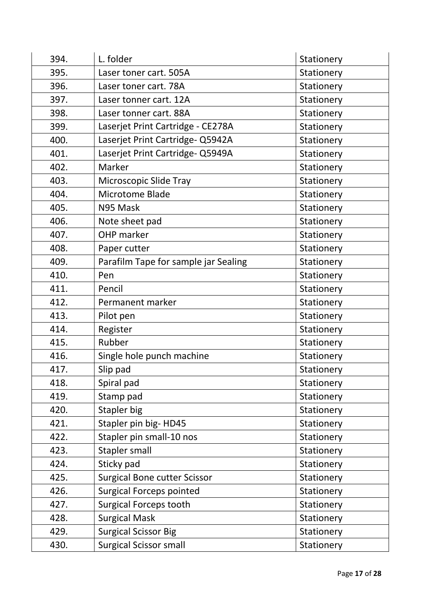| 394. | L. folder                            | Stationery |
|------|--------------------------------------|------------|
| 395. | Laser toner cart. 505A               | Stationery |
| 396. | Laser toner cart. 78A                | Stationery |
| 397. | Laser tonner cart. 12A               | Stationery |
| 398. | Laser tonner cart. 88A               | Stationery |
| 399. | Laserjet Print Cartridge - CE278A    | Stationery |
| 400. | Laserjet Print Cartridge- Q5942A     | Stationery |
| 401. | Laserjet Print Cartridge- Q5949A     | Stationery |
| 402. | Marker                               | Stationery |
| 403. | Microscopic Slide Tray               | Stationery |
| 404. | Microtome Blade                      | Stationery |
| 405. | N95 Mask                             | Stationery |
| 406. | Note sheet pad                       | Stationery |
| 407. | <b>OHP</b> marker                    | Stationery |
| 408. | Paper cutter                         | Stationery |
| 409. | Parafilm Tape for sample jar Sealing | Stationery |
| 410. | Pen                                  | Stationery |
| 411. | Pencil                               | Stationery |
| 412. | Permanent marker                     | Stationery |
| 413. | Pilot pen                            | Stationery |
| 414. | Register                             | Stationery |
| 415. | Rubber                               | Stationery |
| 416. | Single hole punch machine            | Stationery |
| 417. | Slip pad                             | Stationery |
| 418. | Spiral pad                           | Stationery |
| 419. | Stamp pad                            | Stationery |
| 420. | Stapler big                          | Stationery |
| 421. | Stapler pin big-HD45                 | Stationery |
| 422. | Stapler pin small-10 nos             | Stationery |
| 423. | Stapler small                        | Stationery |
| 424. | Sticky pad                           | Stationery |
| 425. | <b>Surgical Bone cutter Scissor</b>  | Stationery |
| 426. | <b>Surgical Forceps pointed</b>      | Stationery |
| 427. | <b>Surgical Forceps tooth</b>        | Stationery |
| 428. | <b>Surgical Mask</b>                 | Stationery |
| 429. | <b>Surgical Scissor Big</b>          | Stationery |
| 430. | <b>Surgical Scissor small</b>        | Stationery |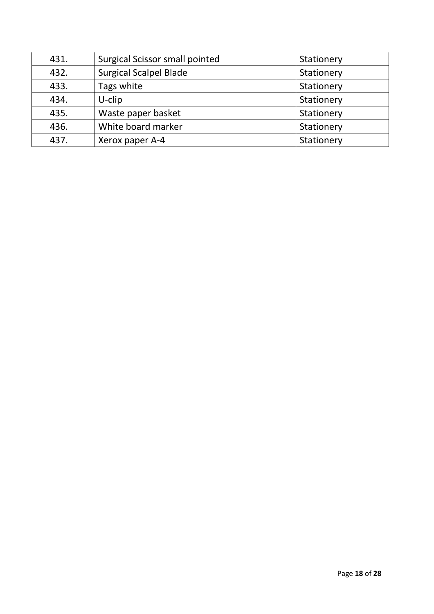| 431. | Surgical Scissor small pointed | Stationery |
|------|--------------------------------|------------|
| 432. | <b>Surgical Scalpel Blade</b>  | Stationery |
| 433. | Tags white                     | Stationery |
| 434. | $U$ -clip                      | Stationery |
| 435. | Waste paper basket             | Stationery |
| 436. | White board marker             | Stationery |
| 437. | Xerox paper A-4                | Stationery |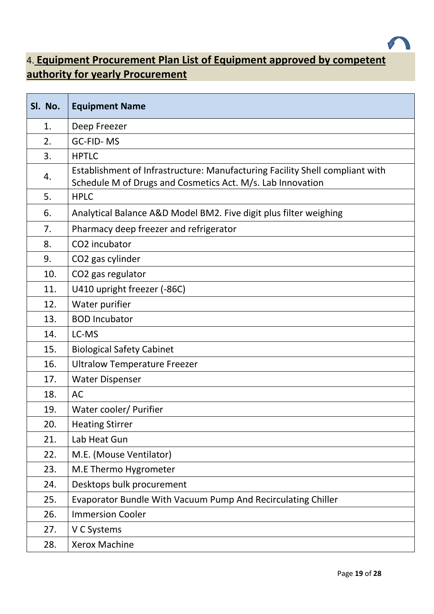<span id="page-18-0"></span>

#### 4. **Equipment Procurement Plan List of Equipment approved by competent authority for yearly Procurement**

| Sl. No. | <b>Equipment Name</b>                                                                                                                      |
|---------|--------------------------------------------------------------------------------------------------------------------------------------------|
| 1.      | Deep Freezer                                                                                                                               |
| 2.      | <b>GC-FID-MS</b>                                                                                                                           |
| 3.      | <b>HPTLC</b>                                                                                                                               |
| 4.      | Establishment of Infrastructure: Manufacturing Facility Shell compliant with<br>Schedule M of Drugs and Cosmetics Act. M/s. Lab Innovation |
| 5.      | <b>HPLC</b>                                                                                                                                |
| 6.      | Analytical Balance A&D Model BM2. Five digit plus filter weighing                                                                          |
| 7.      | Pharmacy deep freezer and refrigerator                                                                                                     |
| 8.      | CO2 incubator                                                                                                                              |
| 9.      | CO2 gas cylinder                                                                                                                           |
| 10.     | CO2 gas regulator                                                                                                                          |
| 11.     | U410 upright freezer (-86C)                                                                                                                |
| 12.     | Water purifier                                                                                                                             |
| 13.     | <b>BOD Incubator</b>                                                                                                                       |
| 14.     | LC-MS                                                                                                                                      |
| 15.     | <b>Biological Safety Cabinet</b>                                                                                                           |
| 16.     | <b>Ultralow Temperature Freezer</b>                                                                                                        |
| 17.     | <b>Water Dispenser</b>                                                                                                                     |
| 18.     | <b>AC</b>                                                                                                                                  |
| 19.     | Water cooler/ Purifier                                                                                                                     |
| 20.     | <b>Heating Stirrer</b>                                                                                                                     |
| 21.     | Lab Heat Gun                                                                                                                               |
| 22.     | M.E. (Mouse Ventilator)                                                                                                                    |
| 23.     | M.E Thermo Hygrometer                                                                                                                      |
| 24.     | Desktops bulk procurement                                                                                                                  |
| 25.     | Evaporator Bundle With Vacuum Pump And Recirculating Chiller                                                                               |
| 26.     | <b>Immersion Cooler</b>                                                                                                                    |
| 27.     | V C Systems                                                                                                                                |
| 28.     | <b>Xerox Machine</b>                                                                                                                       |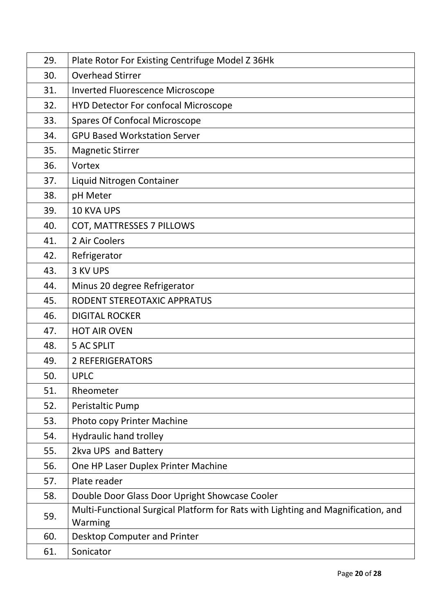| 29. | Plate Rotor For Existing Centrifuge Model Z 36Hk                                            |
|-----|---------------------------------------------------------------------------------------------|
| 30. | <b>Overhead Stirrer</b>                                                                     |
| 31. | <b>Inverted Fluorescence Microscope</b>                                                     |
| 32. | <b>HYD Detector For confocal Microscope</b>                                                 |
| 33. | <b>Spares Of Confocal Microscope</b>                                                        |
| 34. | <b>GPU Based Workstation Server</b>                                                         |
| 35. | <b>Magnetic Stirrer</b>                                                                     |
| 36. | Vortex                                                                                      |
| 37. | Liquid Nitrogen Container                                                                   |
| 38. | pH Meter                                                                                    |
| 39. | <b>10 KVA UPS</b>                                                                           |
| 40. | COT, MATTRESSES 7 PILLOWS                                                                   |
| 41. | 2 Air Coolers                                                                               |
| 42. | Refrigerator                                                                                |
| 43. | 3 KV UPS                                                                                    |
| 44. | Minus 20 degree Refrigerator                                                                |
| 45. | RODENT STEREOTAXIC APPRATUS                                                                 |
| 46. | <b>DIGITAL ROCKER</b>                                                                       |
| 47. | <b>HOT AIR OVEN</b>                                                                         |
| 48. | <b>5 AC SPLIT</b>                                                                           |
| 49. | <b>2 REFERIGERATORS</b>                                                                     |
| 50. | <b>UPLC</b>                                                                                 |
| 51. | Rheometer                                                                                   |
| 52. | Peristaltic Pump                                                                            |
| 53. | Photo copy Printer Machine                                                                  |
| 54. | <b>Hydraulic hand trolley</b>                                                               |
| 55. | 2kva UPS and Battery                                                                        |
| 56. | One HP Laser Duplex Printer Machine                                                         |
| 57. | Plate reader                                                                                |
| 58. | Double Door Glass Door Upright Showcase Cooler                                              |
| 59. | Multi-Functional Surgical Platform for Rats with Lighting and Magnification, and<br>Warming |
| 60. | Desktop Computer and Printer                                                                |
| 61. | Sonicator                                                                                   |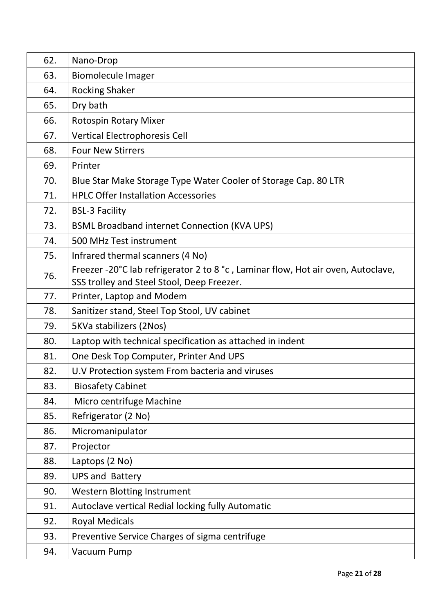| 62. | Nano-Drop                                                                                                                      |
|-----|--------------------------------------------------------------------------------------------------------------------------------|
| 63. | <b>Biomolecule Imager</b>                                                                                                      |
| 64. | <b>Rocking Shaker</b>                                                                                                          |
| 65. | Dry bath                                                                                                                       |
| 66. | <b>Rotospin Rotary Mixer</b>                                                                                                   |
| 67. | <b>Vertical Electrophoresis Cell</b>                                                                                           |
| 68. | <b>Four New Stirrers</b>                                                                                                       |
| 69. | Printer                                                                                                                        |
| 70. | Blue Star Make Storage Type Water Cooler of Storage Cap. 80 LTR                                                                |
| 71. | <b>HPLC Offer Installation Accessories</b>                                                                                     |
| 72. | <b>BSL-3 Facility</b>                                                                                                          |
| 73. | <b>BSML Broadband internet Connection (KVA UPS)</b>                                                                            |
| 74. | 500 MHz Test instrument                                                                                                        |
| 75. | Infrared thermal scanners (4 No)                                                                                               |
| 76. | Freezer -20°C lab refrigerator 2 to 8 °c, Laminar flow, Hot air oven, Autoclave,<br>SSS trolley and Steel Stool, Deep Freezer. |
| 77. | Printer, Laptop and Modem                                                                                                      |
| 78. | Sanitizer stand, Steel Top Stool, UV cabinet                                                                                   |
| 79. | 5KVa stabilizers (2Nos)                                                                                                        |
| 80. | Laptop with technical specification as attached in indent                                                                      |
| 81. | One Desk Top Computer, Printer And UPS                                                                                         |
| 82. | U.V Protection system From bacteria and viruses                                                                                |
| 83. | <b>Biosafety Cabinet</b>                                                                                                       |
| 84. | Micro centrifuge Machine                                                                                                       |
| 85. | Refrigerator (2 No)                                                                                                            |
| 86. | Micromanipulator                                                                                                               |
| 87. | Projector                                                                                                                      |
| 88. | Laptops (2 No)                                                                                                                 |
| 89. | <b>UPS and Battery</b>                                                                                                         |
| 90. | <b>Western Blotting Instrument</b>                                                                                             |
| 91. | Autoclave vertical Redial locking fully Automatic                                                                              |
| 92. | <b>Royal Medicals</b>                                                                                                          |
| 93. | Preventive Service Charges of sigma centrifuge                                                                                 |
| 94. | Vacuum Pump                                                                                                                    |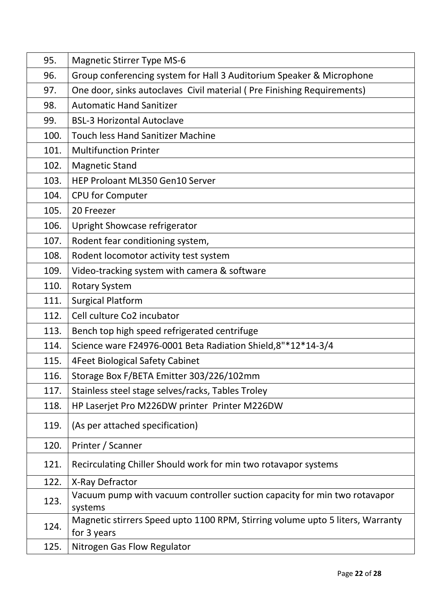| 95.  | <b>Magnetic Stirrer Type MS-6</b>                                                             |
|------|-----------------------------------------------------------------------------------------------|
| 96.  | Group conferencing system for Hall 3 Auditorium Speaker & Microphone                          |
| 97.  | One door, sinks autoclaves Civil material (Pre Finishing Requirements)                        |
| 98.  | <b>Automatic Hand Sanitizer</b>                                                               |
| 99.  | <b>BSL-3 Horizontal Autoclave</b>                                                             |
| 100. | <b>Touch less Hand Sanitizer Machine</b>                                                      |
| 101. | <b>Multifunction Printer</b>                                                                  |
| 102. | <b>Magnetic Stand</b>                                                                         |
| 103. | HEP Proloant ML350 Gen10 Server                                                               |
| 104. | <b>CPU for Computer</b>                                                                       |
| 105. | 20 Freezer                                                                                    |
| 106. | Upright Showcase refrigerator                                                                 |
| 107. | Rodent fear conditioning system,                                                              |
| 108. | Rodent locomotor activity test system                                                         |
| 109. | Video-tracking system with camera & software                                                  |
| 110. | <b>Rotary System</b>                                                                          |
| 111. | <b>Surgical Platform</b>                                                                      |
| 112. | Cell culture Co2 incubator                                                                    |
| 113. | Bench top high speed refrigerated centrifuge                                                  |
| 114. | Science ware F24976-0001 Beta Radiation Shield, 8"*12*14-3/4                                  |
| 115. | <b>4Feet Biological Safety Cabinet</b>                                                        |
| 116. | Storage Box F/BETA Emitter 303/226/102mm                                                      |
| 117. | Stainless steel stage selves/racks, Tables Troley                                             |
| 118. | HP Laserjet Pro M226DW printer Printer M226DW                                                 |
| 119. | (As per attached specification)                                                               |
| 120. | Printer / Scanner                                                                             |
| 121. | Recirculating Chiller Should work for min two rotavapor systems                               |
| 122. | X-Ray Defractor                                                                               |
| 123. | Vacuum pump with vacuum controller suction capacity for min two rotavapor<br>systems          |
| 124. | Magnetic stirrers Speed upto 1100 RPM, Stirring volume upto 5 liters, Warranty<br>for 3 years |
| 125. | Nitrogen Gas Flow Regulator                                                                   |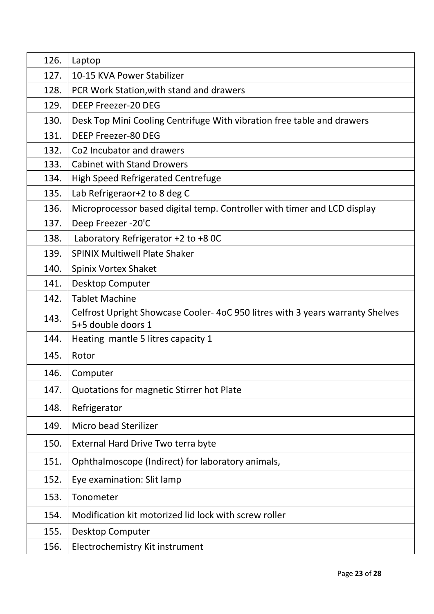| 126. | Laptop                                                                                              |
|------|-----------------------------------------------------------------------------------------------------|
| 127. | 10-15 KVA Power Stabilizer                                                                          |
| 128. | PCR Work Station, with stand and drawers                                                            |
| 129. | <b>DEEP Freezer-20 DEG</b>                                                                          |
| 130. | Desk Top Mini Cooling Centrifuge With vibration free table and drawers                              |
| 131. | <b>DEEP Freezer-80 DEG</b>                                                                          |
| 132. | Co <sub>2</sub> Incubator and drawers                                                               |
| 133. | <b>Cabinet with Stand Drowers</b>                                                                   |
| 134. | <b>High Speed Refrigerated Centrefuge</b>                                                           |
| 135. | Lab Refrigeraor+2 to 8 deg C                                                                        |
| 136. | Microprocessor based digital temp. Controller with timer and LCD display                            |
| 137. | Deep Freezer -20'C                                                                                  |
| 138. | Laboratory Refrigerator +2 to +8 OC                                                                 |
| 139. | <b>SPINIX Multiwell Plate Shaker</b>                                                                |
| 140. | Spinix Vortex Shaket                                                                                |
| 141. | Desktop Computer                                                                                    |
| 142. | <b>Tablet Machine</b>                                                                               |
| 143. | Celfrost Upright Showcase Cooler-4oC 950 litres with 3 years warranty Shelves<br>5+5 double doors 1 |
| 144. | Heating mantle 5 litres capacity 1                                                                  |
| 145. | Rotor                                                                                               |
| 146. | Computer                                                                                            |
| 147. | Quotations for magnetic Stirrer hot Plate                                                           |
| 148. | Refrigerator                                                                                        |
| 149. | Micro bead Sterilizer                                                                               |
| 150. | External Hard Drive Two terra byte                                                                  |
| 151. | Ophthalmoscope (Indirect) for laboratory animals,                                                   |
| 152. | Eye examination: Slit lamp                                                                          |
| 153. | Tonometer                                                                                           |
| 154. | Modification kit motorized lid lock with screw roller                                               |
| 155. | Desktop Computer                                                                                    |
| 156. | Electrochemistry Kit instrument                                                                     |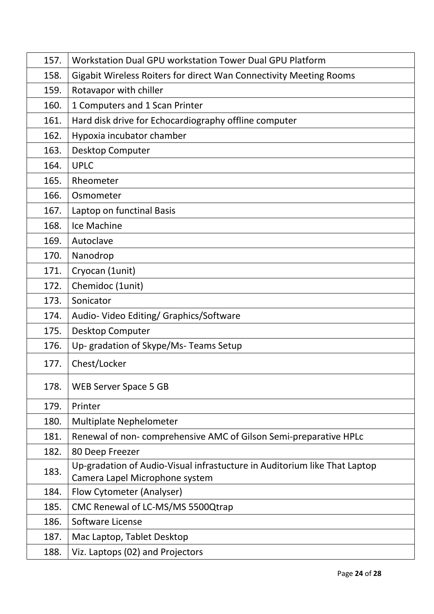| 157. | Workstation Dual GPU workstation Tower Dual GPU Platform                                                    |
|------|-------------------------------------------------------------------------------------------------------------|
| 158. | Gigabit Wireless Roiters for direct Wan Connectivity Meeting Rooms                                          |
| 159. | Rotavapor with chiller                                                                                      |
| 160. | 1 Computers and 1 Scan Printer                                                                              |
| 161. | Hard disk drive for Echocardiography offline computer                                                       |
| 162. | Hypoxia incubator chamber                                                                                   |
| 163. | Desktop Computer                                                                                            |
| 164. | <b>UPLC</b>                                                                                                 |
| 165. | Rheometer                                                                                                   |
| 166. | Osmometer                                                                                                   |
| 167. | Laptop on functinal Basis                                                                                   |
| 168. | Ice Machine                                                                                                 |
| 169. | Autoclave                                                                                                   |
| 170. | Nanodrop                                                                                                    |
| 171. | Cryocan (1unit)                                                                                             |
| 172. | Chemidoc (1unit)                                                                                            |
| 173. | Sonicator                                                                                                   |
| 174. | Audio-Video Editing/Graphics/Software                                                                       |
| 175. | Desktop Computer                                                                                            |
| 176. | Up- gradation of Skype/Ms- Teams Setup                                                                      |
| 177. | Chest/Locker                                                                                                |
| 178. | <b>WEB Server Space 5 GB</b>                                                                                |
| 179. | Printer                                                                                                     |
| 180. | <b>Multiplate Nephelometer</b>                                                                              |
| 181. | Renewal of non-comprehensive AMC of Gilson Semi-preparative HPLC                                            |
| 182. | 80 Deep Freezer                                                                                             |
| 183. | Up-gradation of Audio-Visual infrastucture in Auditorium like That Laptop<br>Camera Lapel Microphone system |
| 184. | Flow Cytometer (Analyser)                                                                                   |
| 185. | CMC Renewal of LC-MS/MS 5500Qtrap                                                                           |
| 186. | Software License                                                                                            |
| 187. | Mac Laptop, Tablet Desktop                                                                                  |
| 188. | Viz. Laptops (02) and Projectors                                                                            |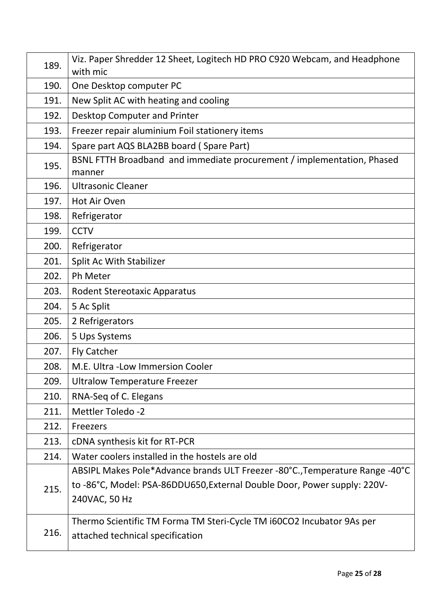| 189. | Viz. Paper Shredder 12 Sheet, Logitech HD PRO C920 Webcam, and Headphone<br>with mic                                                                                      |
|------|---------------------------------------------------------------------------------------------------------------------------------------------------------------------------|
| 190. | One Desktop computer PC                                                                                                                                                   |
| 191. | New Split AC with heating and cooling                                                                                                                                     |
| 192. | Desktop Computer and Printer                                                                                                                                              |
| 193. | Freezer repair aluminium Foil stationery items                                                                                                                            |
| 194. | Spare part AQS BLA2BB board (Spare Part)                                                                                                                                  |
| 195. | BSNL FTTH Broadband and immediate procurement / implementation, Phased<br>manner                                                                                          |
| 196. | <b>Ultrasonic Cleaner</b>                                                                                                                                                 |
| 197. | Hot Air Oven                                                                                                                                                              |
| 198. | Refrigerator                                                                                                                                                              |
| 199. | <b>CCTV</b>                                                                                                                                                               |
| 200. | Refrigerator                                                                                                                                                              |
| 201. | Split Ac With Stabilizer                                                                                                                                                  |
| 202. | Ph Meter                                                                                                                                                                  |
| 203. | <b>Rodent Stereotaxic Apparatus</b>                                                                                                                                       |
| 204. | 5 Ac Split                                                                                                                                                                |
| 205. | 2 Refrigerators                                                                                                                                                           |
| 206. | 5 Ups Systems                                                                                                                                                             |
| 207. | <b>Fly Catcher</b>                                                                                                                                                        |
| 208. | M.E. Ultra - Low Immersion Cooler                                                                                                                                         |
| 209. | <b>Ultralow Temperature Freezer</b>                                                                                                                                       |
| 210. | RNA-Seq of C. Elegans                                                                                                                                                     |
| 211. | <b>Mettler Toledo -2</b>                                                                                                                                                  |
| 212. | Freezers                                                                                                                                                                  |
| 213. | cDNA synthesis kit for RT-PCR                                                                                                                                             |
| 214. | Water coolers installed in the hostels are old                                                                                                                            |
| 215. | ABSIPL Makes Pole*Advance brands ULT Freezer -80°C., Temperature Range -40°C<br>to -86°C, Model: PSA-86DDU650, External Double Door, Power supply: 220V-<br>240VAC, 50 Hz |
| 216. | Thermo Scientific TM Forma TM Steri-Cycle TM i60CO2 Incubator 9As per<br>attached technical specification                                                                 |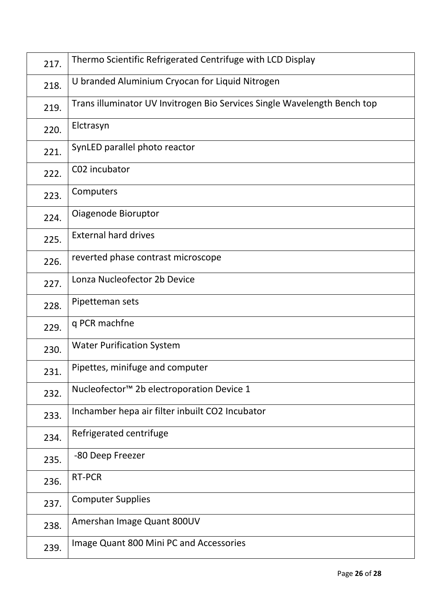| 217. | Thermo Scientific Refrigerated Centrifuge with LCD Display               |
|------|--------------------------------------------------------------------------|
| 218. | U branded Aluminium Cryocan for Liquid Nitrogen                          |
| 219. | Trans illuminator UV Invitrogen Bio Services Single Wavelength Bench top |
| 220. | Elctrasyn                                                                |
| 221. | SynLED parallel photo reactor                                            |
| 222. | C02 incubator                                                            |
| 223. | Computers                                                                |
| 224. | Oiagenode Bioruptor                                                      |
| 225. | <b>External hard drives</b>                                              |
| 226. | reverted phase contrast microscope                                       |
| 227. | Lonza Nucleofector 2b Device                                             |
| 228. | Pipetteman sets                                                          |
| 229. | q PCR machfne                                                            |
| 230. | <b>Water Purification System</b>                                         |
| 231. | Pipettes, minifuge and computer                                          |
| 232. | Nucleofector <sup>™</sup> 2b electroporation Device 1                    |
| 233. | Inchamber hepa air filter inbuilt CO2 Incubator                          |
| 234. | Refrigerated centrifuge                                                  |
| 235. | -80 Deep Freezer                                                         |
| 236. | <b>RT-PCR</b>                                                            |
| 237. | <b>Computer Supplies</b>                                                 |
| 238. | Amershan Image Quant 800UV                                               |
| 239. | Image Quant 800 Mini PC and Accessories                                  |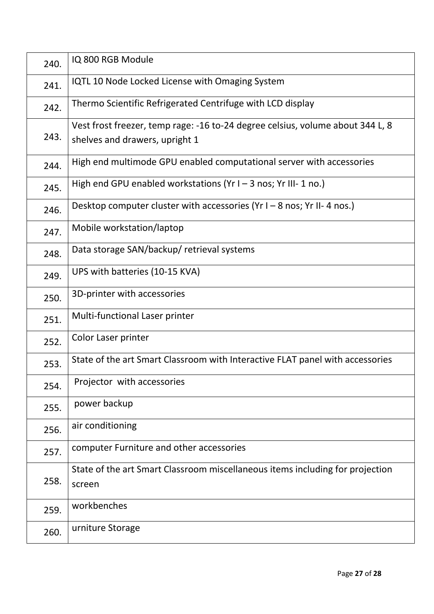| 240. | IQ 800 RGB Module                                                                                                |
|------|------------------------------------------------------------------------------------------------------------------|
| 241. | IQTL 10 Node Locked License with Omaging System                                                                  |
| 242. | Thermo Scientific Refrigerated Centrifuge with LCD display                                                       |
| 243. | Vest frost freezer, temp rage: -16 to-24 degree celsius, volume about 344 L, 8<br>shelves and drawers, upright 1 |
| 244. | High end multimode GPU enabled computational server with accessories                                             |
| 245. | High end GPU enabled workstations ( $Yr I - 3$ nos; $Yr III - 1$ no.)                                            |
| 246. | Desktop computer cluster with accessories ( $Yr1 - 8$ nos; $Yr11 - 4$ nos.)                                      |
| 247. | Mobile workstation/laptop                                                                                        |
| 248. | Data storage SAN/backup/ retrieval systems                                                                       |
| 249. | UPS with batteries (10-15 KVA)                                                                                   |
| 250. | 3D-printer with accessories                                                                                      |
| 251. | Multi-functional Laser printer                                                                                   |
| 252. | Color Laser printer                                                                                              |
| 253. | State of the art Smart Classroom with Interactive FLAT panel with accessories                                    |
| 254. | Projector with accessories                                                                                       |
| 255. | power backup                                                                                                     |
| 256. | air conditioning                                                                                                 |
| 257. | computer Furniture and other accessories                                                                         |
| 258. | State of the art Smart Classroom miscellaneous items including for projection<br>screen                          |
| 259. | workbenches                                                                                                      |
| 260. | urniture Storage                                                                                                 |